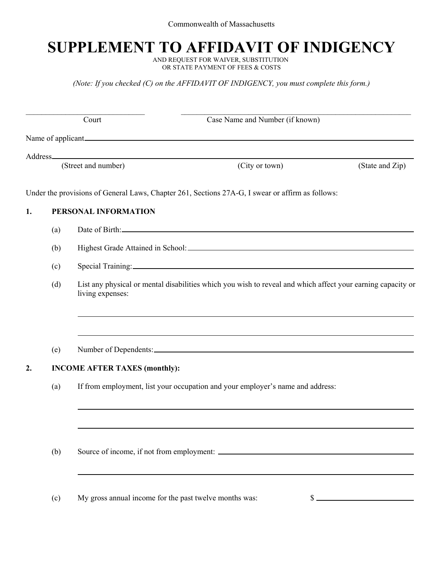## **SUPPLEMENT TO AFFIDAVIT OF INDIGENCY**

AND REQUEST FOR WAIVER, SUBSTITUTION OR STATE PAYMENT OF FEES & COSTS

*(Note: If you checked (C) on the AFFIDAVIT OF INDIGENCY, you must complete this form.)*

|    |     | Court                                                  | Case Name and Number (if known)                                                                             |                 |
|----|-----|--------------------------------------------------------|-------------------------------------------------------------------------------------------------------------|-----------------|
|    |     |                                                        | Name of applicant                                                                                           |                 |
|    |     |                                                        |                                                                                                             |                 |
|    |     | (Street and number)                                    | (City or town)                                                                                              | (State and Zip) |
|    |     |                                                        | Under the provisions of General Laws, Chapter 261, Sections 27A-G, I swear or affirm as follows:            |                 |
| 1. |     | PERSONAL INFORMATION                                   |                                                                                                             |                 |
|    | (a) |                                                        |                                                                                                             |                 |
|    | (b) |                                                        |                                                                                                             |                 |
|    | (c) |                                                        |                                                                                                             |                 |
|    | (d) | living expenses:                                       | List any physical or mental disabilities which you wish to reveal and which affect your earning capacity or |                 |
|    | (e) |                                                        | ,我们也不会有什么。""我们的人,我们也不会有什么?""我们的人,我们也不会有什么?""我们的人,我们也不会有什么?""我们的人,我们也不会有什么?""我们的人                            |                 |
| 2. |     | <b>INCOME AFTER TAXES (monthly):</b>                   |                                                                                                             |                 |
|    | (a) |                                                        | If from employment, list your occupation and your employer's name and address:                              |                 |
|    |     |                                                        |                                                                                                             |                 |
|    | (b) |                                                        |                                                                                                             |                 |
|    | (c) | My gross annual income for the past twelve months was: | ა.                                                                                                          |                 |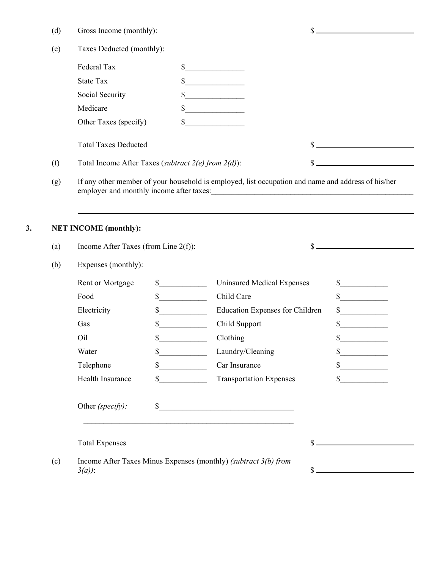| (d)<br>Gross Income (monthly): |  |
|--------------------------------|--|
|--------------------------------|--|

|     | Federal Tax                                              | \$                                                                                                 |  |
|-----|----------------------------------------------------------|----------------------------------------------------------------------------------------------------|--|
|     | State Tax                                                | \$                                                                                                 |  |
|     | Social Security                                          | S                                                                                                  |  |
|     | Medicare                                                 | \$                                                                                                 |  |
|     | Other Taxes (specify)                                    | S                                                                                                  |  |
|     | <b>Total Taxes Deducted</b>                              |                                                                                                    |  |
| (f) | Total Income After Taxes (subtract $2(e)$ from $2(d)$ ): |                                                                                                    |  |
| (g) |                                                          | If any other member of your household is employed, list occupation and name and address of his/her |  |

employer and monthly income after taxes:

## **3. NET INCOME (monthly):**

| Expenses (monthly):   |              |                                        |                             |
|-----------------------|--------------|----------------------------------------|-----------------------------|
| Rent or Mortgage      | $\mathbb{S}$ | <b>Uninsured Medical Expenses</b>      | $\sim$                      |
| Food                  | $\mathbb{S}$ | Child Care                             | $\frac{\text{S}}{\text{S}}$ |
| Electricity           | $\mathbb{S}$ | <b>Education Expenses for Children</b> | $\sim$                      |
| Gas                   | \$           | Child Support                          | \$                          |
| Oil                   | \$           | Clothing                               |                             |
| Water                 | $\mathbb{S}$ | Laundry/Cleaning                       |                             |
| Telephone             | $\mathbf S$  | Car Insurance                          | $\mathbf{s}$                |
| Health Insurance      | \$           | <b>Transportation Expenses</b>         | S.                          |
| Other (specify):      | $\mathbb{S}$ |                                        |                             |
| <b>Total Expenses</b> |              | S                                      |                             |